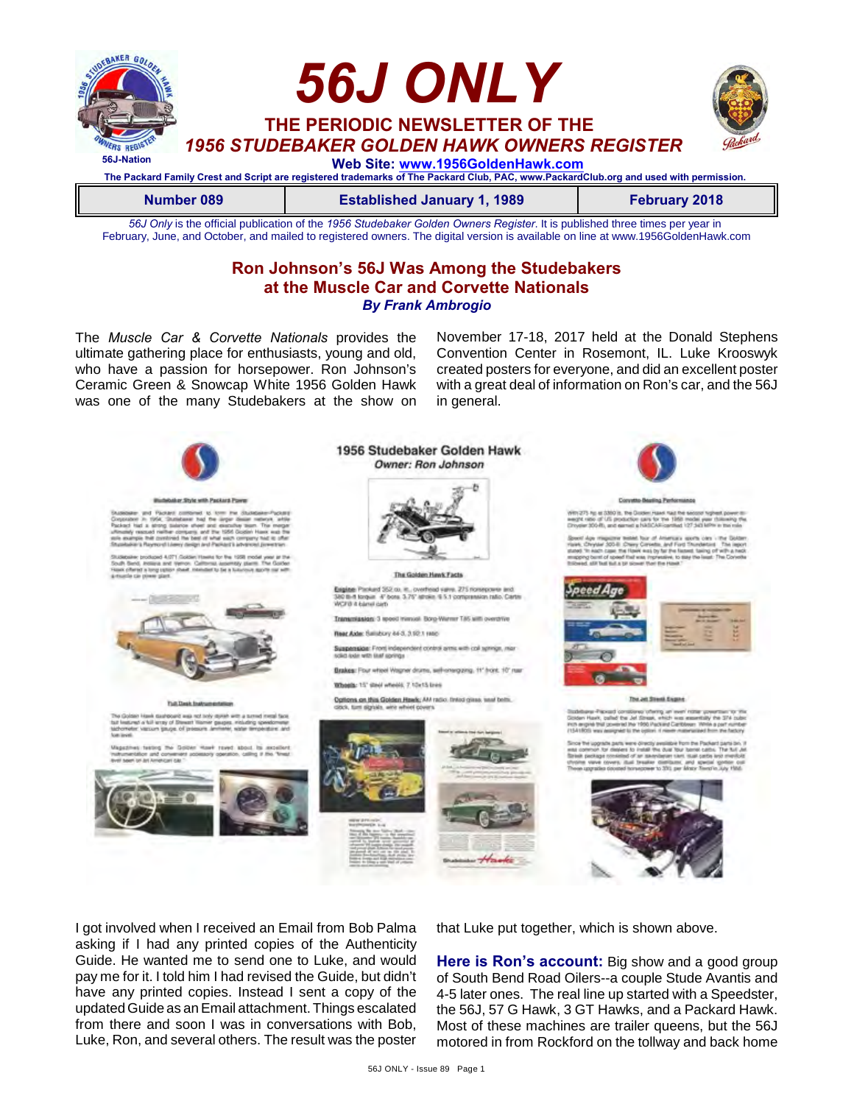

**Number 089 Established January 1, 1989 February 2018**

*56J Only* is the official publication of the *1956 Studebaker Golden Owners Register*. It is published three times per year in February, June, and October, and mailed to registered owners. The digital version is available on line at www.1956GoldenHawk.com

## **Ron Johnson's 56J Was Among the Studebakers at the Muscle Car and Corvette Nationals** *By Frank Ambrogio*

The *Muscle Car & Corvette Nationals* provides the ultimate gathering place for enthusiasts, young and old, who have a passion for horsepower. Ron Johnson's Ceramic Green & Snowcap White 1956 Golden Hawk was one of the many Studebakers at the show on November 17-18, 2017 held at the Donald Stephens Convention Center in Rosemont, IL. Luke Krooswyk created posters for everyone, and did an excellent poster with a great deal of information on Ron's car, and the 56J in general.



I got involved when I received an Email from Bob Palma asking if I had any printed copies of the Authenticity Guide. He wanted me to send one to Luke, and would pay me for it. I told him I had revised the Guide, but didn't have any printed copies. Instead I sent a copy of the updated Guide as an Email attachment. Things escalated from there and soon I was in conversations with Bob, Luke, Ron, and several others. The result was the poster that Luke put together, which is shown above.

Here is Ron's account: Big show and a good group of South Bend Road Oilers--a couple Stude Avantis and 4-5 later ones. The real line up started with a Speedster, the 56J, 57 G Hawk, 3 GT Hawks, and a Packard Hawk. Most of these machines are trailer queens, but the 56J motored in from Rockford on the tollway and back home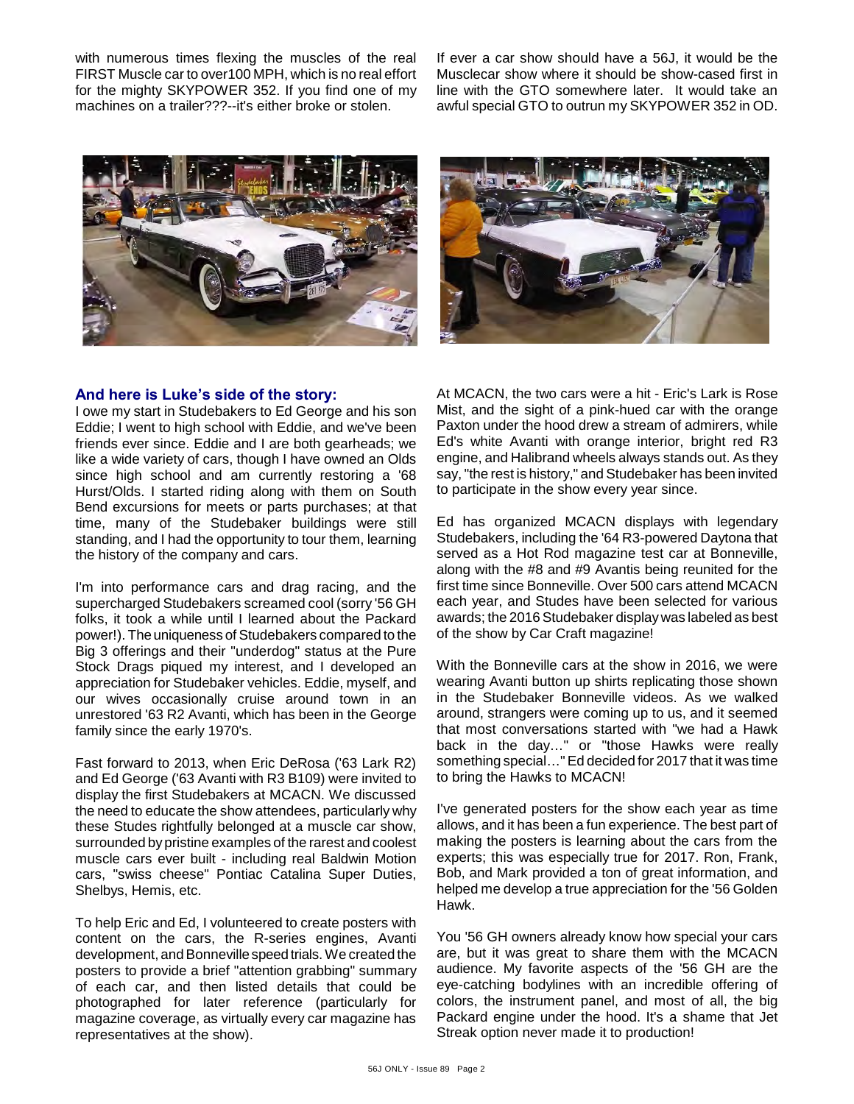with numerous times flexing the muscles of the real FIRST Muscle car to over100 MPH, which is no real effort for the mighty SKYPOWER 352. If you find one of my machines on a trailer???--it's either broke or stolen.

If ever a car show should have a 56J, it would be the Musclecar show where it should be show-cased first in line with the GTO somewhere later. It would take an awful special GTO to outrun my SKYPOWER 352 in OD.





### **And here is Luke's side of the story:**

I owe my start in Studebakers to Ed George and his son Eddie; I went to high school with Eddie, and we've been friends ever since. Eddie and I are both gearheads; we like a wide variety of cars, though I have owned an Olds since high school and am currently restoring a '68 Hurst/Olds. I started riding along with them on South Bend excursions for meets or parts purchases; at that time, many of the Studebaker buildings were still standing, and I had the opportunity to tour them, learning the history of the company and cars.

I'm into performance cars and drag racing, and the supercharged Studebakers screamed cool (sorry '56 GH folks, it took a while until I learned about the Packard power!). The uniqueness of Studebakers compared to the Big 3 offerings and their "underdog" status at the Pure Stock Drags piqued my interest, and I developed an appreciation for Studebaker vehicles. Eddie, myself, and our wives occasionally cruise around town in an unrestored '63 R2 Avanti, which has been in the George family since the early 1970's.

Fast forward to 2013, when Eric DeRosa ('63 Lark R2) and Ed George ('63 Avanti with R3 B109) were invited to display the first Studebakers at MCACN. We discussed the need to educate the show attendees, particularly why these Studes rightfully belonged at a muscle car show, surrounded by pristine examples of the rarest and coolest muscle cars ever built - including real Baldwin Motion cars, "swiss cheese" Pontiac Catalina Super Duties, Shelbys, Hemis, etc.

To help Eric and Ed, I volunteered to create posters with content on the cars, the R-series engines, Avanti development, and Bonneville speed trials. We created the posters to provide a brief "attention grabbing" summary of each car, and then listed details that could be photographed for later reference (particularly for magazine coverage, as virtually every car magazine has representatives at the show).

At MCACN, the two cars were a hit - Eric's Lark is Rose Mist, and the sight of a pink-hued car with the orange Paxton under the hood drew a stream of admirers, while Ed's white Avanti with orange interior, bright red R3 engine, and Halibrand wheels always stands out. As they say, "the rest is history," and Studebaker has been invited to participate in the show every year since.

Ed has organized MCACN displays with legendary Studebakers, including the '64 R3-powered Daytona that served as a Hot Rod magazine test car at Bonneville, along with the #8 and #9 Avantis being reunited for the first time since Bonneville. Over 500 cars attend MCACN each year, and Studes have been selected for various awards; the 2016 Studebaker display was labeled as best of the show by Car Craft magazine!

With the Bonneville cars at the show in 2016, we were wearing Avanti button up shirts replicating those shown in the Studebaker Bonneville videos. As we walked around, strangers were coming up to us, and it seemed that most conversations started with "we had a Hawk back in the day…" or "those Hawks were really something special…" Ed decided for 2017 that it was time to bring the Hawks to MCACN!

I've generated posters for the show each year as time allows, and it has been a fun experience. The best part of making the posters is learning about the cars from the experts; this was especially true for 2017. Ron, Frank, Bob, and Mark provided a ton of great information, and helped me develop a true appreciation for the '56 Golden Hawk.

You '56 GH owners already know how special your cars are, but it was great to share them with the MCACN audience. My favorite aspects of the '56 GH are the eye-catching bodylines with an incredible offering of colors, the instrument panel, and most of all, the big Packard engine under the hood. It's a shame that Jet Streak option never made it to production!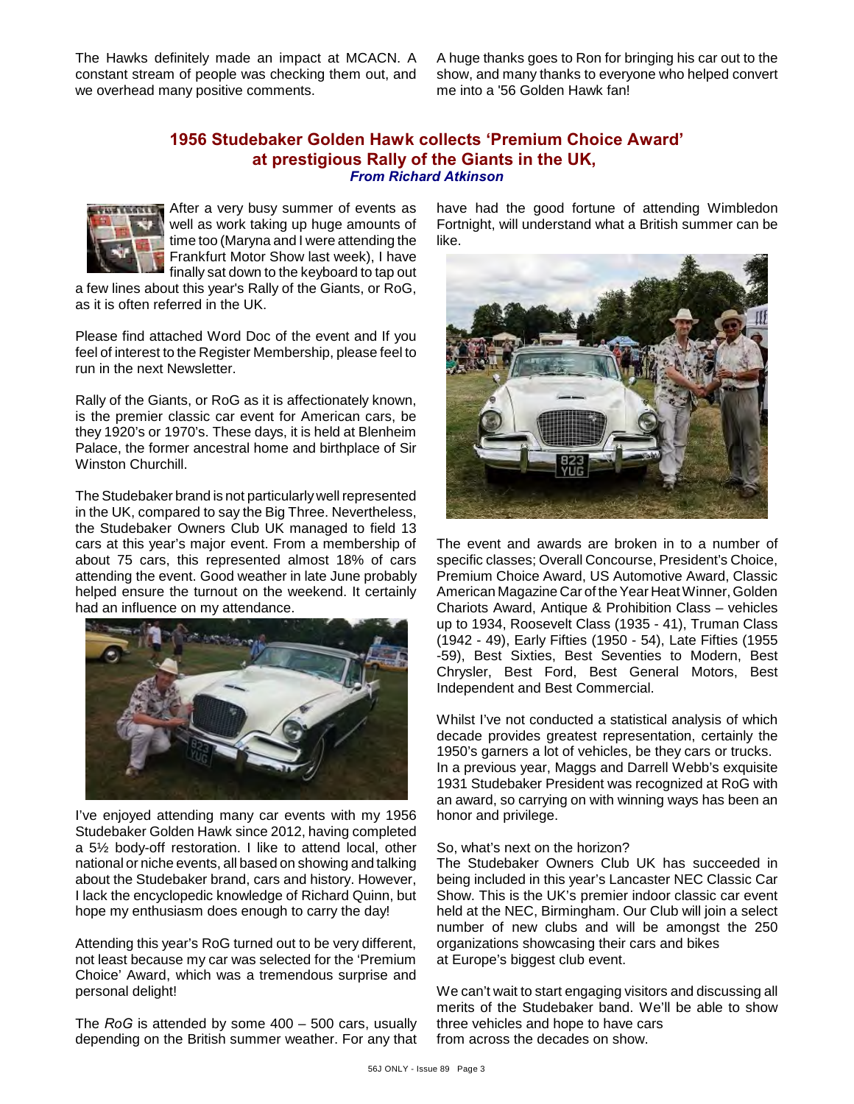The Hawks definitely made an impact at MCACN. A constant stream of people was checking them out, and we overhead many positive comments.

A huge thanks goes to Ron for bringing his car out to the show, and many thanks to everyone who helped convert me into a '56 Golden Hawk fan!

## **1956 Studebaker Golden Hawk collects 'Premium Choice Award' at prestigious Rally of the Giants in the UK,**  *From Richard Atkinson*



After a very busy summer of events as well as work taking up huge amounts of time too (Maryna and I were attending the Frankfurt Motor Show last week), I have finally sat down to the keyboard to tap out

a few lines about this year's Rally of the Giants, or RoG, as it is often referred in the UK.

Please find attached Word Doc of the event and If you feel of interest to the Register Membership, please feel to run in the next Newsletter.

Rally of the Giants, or RoG as it is affectionately known, is the premier classic car event for American cars, be they 1920's or 1970's. These days, it is held at Blenheim Palace, the former ancestral home and birthplace of Sir Winston Churchill.

The Studebaker brand is not particularly well represented in the UK, compared to say the Big Three. Nevertheless, the Studebaker Owners Club UK managed to field 13 cars at this year's major event. From a membership of about 75 cars, this represented almost 18% of cars attending the event. Good weather in late June probably helped ensure the turnout on the weekend. It certainly had an influence on my attendance.



I've enjoyed attending many car events with my 1956 Studebaker Golden Hawk since 2012, having completed a 5½ body-off restoration. I like to attend local, other national or niche events, all based on showing and talking about the Studebaker brand, cars and history. However, I lack the encyclopedic knowledge of Richard Quinn, but hope my enthusiasm does enough to carry the day!

Attending this year's RoG turned out to be very different, not least because my car was selected for the 'Premium Choice' Award, which was a tremendous surprise and personal delight!

The *RoG* is attended by some 400 – 500 cars, usually depending on the British summer weather. For any that have had the good fortune of attending Wimbledon Fortnight, will understand what a British summer can be like.



The event and awards are broken in to a number of specific classes; Overall Concourse, President's Choice, Premium Choice Award, US Automotive Award, Classic American Magazine Car of the Year Heat Winner, Golden Chariots Award, Antique & Prohibition Class – vehicles up to 1934, Roosevelt Class (1935 - 41), Truman Class (1942 - 49), Early Fifties (1950 - 54), Late Fifties (1955 -59), Best Sixties, Best Seventies to Modern, Best Chrysler, Best Ford, Best General Motors, Best Independent and Best Commercial.

Whilst I've not conducted a statistical analysis of which decade provides greatest representation, certainly the 1950's garners a lot of vehicles, be they cars or trucks. In a previous year, Maggs and Darrell Webb's exquisite 1931 Studebaker President was recognized at RoG with an award, so carrying on with winning ways has been an honor and privilege.

#### So, what's next on the horizon?

The Studebaker Owners Club UK has succeeded in being included in this year's Lancaster NEC Classic Car Show. This is the UK's premier indoor classic car event held at the NEC, Birmingham. Our Club will join a select number of new clubs and will be amongst the 250 organizations showcasing their cars and bikes at Europe's biggest club event.

We can't wait to start engaging visitors and discussing all merits of the Studebaker band. We'll be able to show three vehicles and hope to have cars from across the decades on show.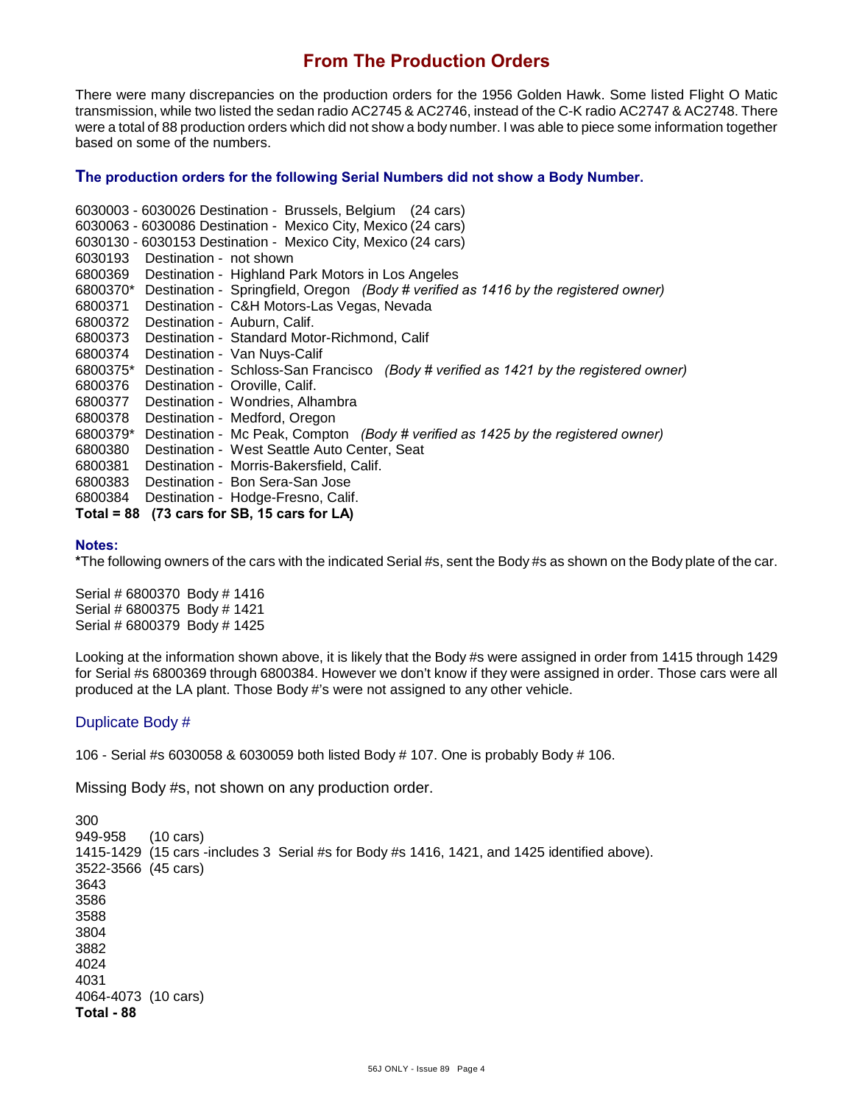## **From The Production Orders**

There were many discrepancies on the production orders for the 1956 Golden Hawk. Some listed Flight O Matic transmission, while two listed the sedan radio AC2745 & AC2746, instead of the C-K radio AC2747 & AC2748. There were a total of 88 production orders which did not show a body number. I was able to piece some information together based on some of the numbers.

### **The production orders for the following Serial Numbers did not show a Body Number.**

|          |                         | 6030003 - 6030026 Destination - Brussels, Belgium (24 cars)                                  |
|----------|-------------------------|----------------------------------------------------------------------------------------------|
|          |                         | 6030063 - 6030086 Destination - Mexico City, Mexico (24 cars)                                |
|          |                         | 6030130 - 6030153 Destination - Mexico City, Mexico (24 cars)                                |
| 6030193  | Destination - not shown |                                                                                              |
|          |                         | 6800369 Destination - Highland Park Motors in Los Angeles                                    |
|          |                         | 6800370* Destination - Springfield, Oregon (Body # verified as 1416 by the registered owner) |
| 6800371  |                         | Destination - C&H Motors-Las Vegas, Nevada                                                   |
| 6800372  |                         | Destination - Auburn, Calif.                                                                 |
| 6800373  |                         | Destination - Standard Motor-Richmond, Calif                                                 |
| 6800374  |                         | Destination - Van Nuys-Calif                                                                 |
| 6800375* |                         | Destination - Schloss-San Francisco (Body # verified as 1421 by the registered owner)        |
| 6800376  |                         | Destination - Oroville, Calif.                                                               |
| 6800377  |                         | Destination - Wondries, Alhambra                                                             |
| 6800378  |                         | Destination - Medford, Oregon                                                                |
| 6800379* |                         | Destination - Mc Peak, Compton (Body # verified as 1425 by the registered owner)             |
| 6800380  |                         | Destination - West Seattle Auto Center, Seat                                                 |
| 6800381  |                         | Destination - Morris-Bakersfield, Calif.                                                     |
| 6800383  |                         | Destination - Bon Sera-San Jose                                                              |
| 6800384  |                         | Destination - Hodge-Fresno, Calif.                                                           |
|          |                         | Total = $88$ (73 cars for SB, 15 cars for LA)                                                |

#### **Notes:**

**\***The following owners of the cars with the indicated Serial #s, sent the Body #s as shown on the Body plate of the car.

Serial # 6800370 Body # 1416 Serial # 6800375 Body # 1421 Serial # 6800379 Body # 1425

Looking at the information shown above, it is likely that the Body #s were assigned in order from 1415 through 1429 for Serial #s 6800369 through 6800384. However we don't know if they were assigned in order. Those cars were all produced at the LA plant. Those Body #'s were not assigned to any other vehicle.

### Duplicate Body #

106 - Serial #s 6030058 & 6030059 both listed Body # 107. One is probably Body # 106.

Missing Body #s, not shown on any production order.

```
300
949-958 (10 cars)
1415-1429 (15 cars -includes 3 Serial #s for Body #s 1416, 1421, and 1425 identified above).
3522-3566 (45 cars)
3643
3586
3588
3804
3882
4024
4031
4064-4073 (10 cars)
Total - 88
```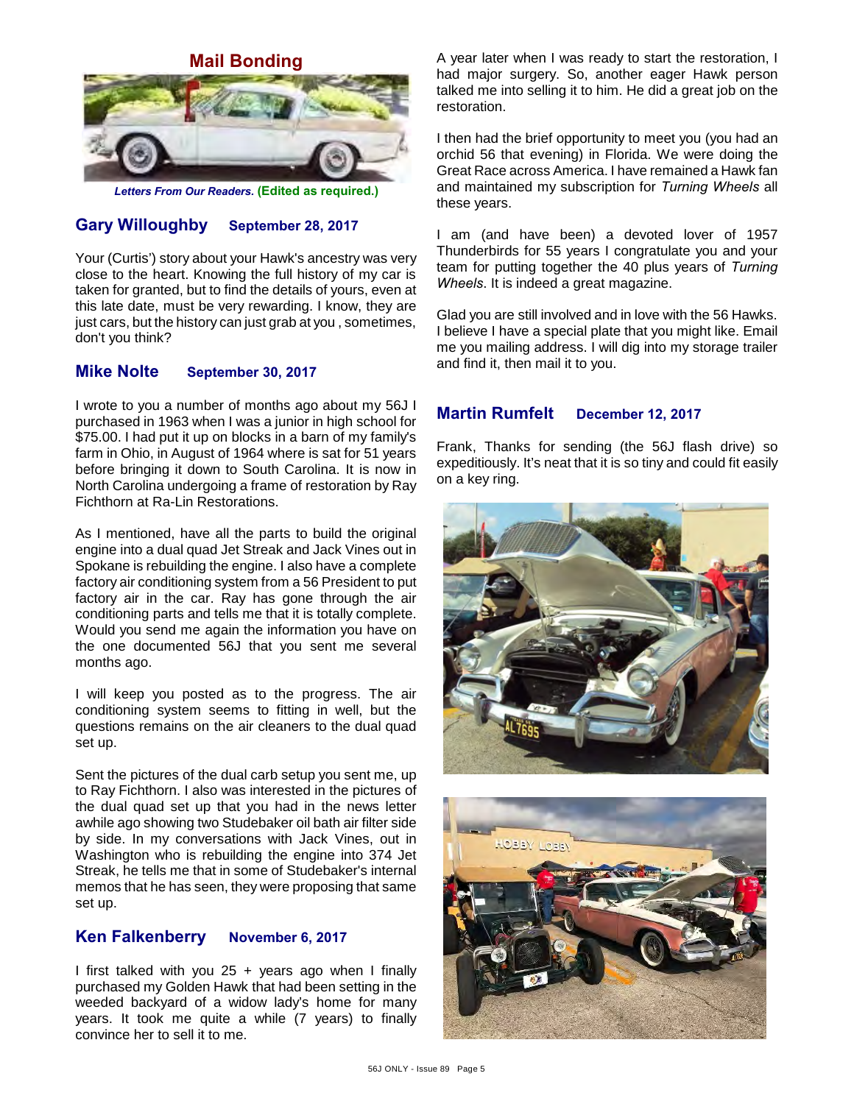

*Letters From Our Readers.* **(Edited as required.)**

## **Gary Willoughby September 28, 2017**

Your (Curtis') story about your Hawk's ancestry was very close to the heart. Knowing the full history of my car is taken for granted, but to find the details of yours, even at this late date, must be very rewarding. I know, they are just cars, but the history can just grab at you , sometimes, don't you think?

### **Mike Nolte September 30, 2017**

I wrote to you a number of months ago about my 56J I purchased in 1963 when I was a junior in high school for \$75.00. I had put it up on blocks in a barn of my family's farm in Ohio, in August of 1964 where is sat for 51 years before bringing it down to South Carolina. It is now in North Carolina undergoing a frame of restoration by Ray Fichthorn at Ra-Lin Restorations.

As I mentioned, have all the parts to build the original engine into a dual quad Jet Streak and Jack Vines out in Spokane is rebuilding the engine. I also have a complete factory air conditioning system from a 56 President to put factory air in the car. Ray has gone through the air conditioning parts and tells me that it is totally complete. Would you send me again the information you have on the one documented 56J that you sent me several months ago.

I will keep you posted as to the progress. The air conditioning system seems to fitting in well, but the questions remains on the air cleaners to the dual quad set up.

Sent the pictures of the dual carb setup you sent me, up to Ray Fichthorn. I also was interested in the pictures of the dual quad set up that you had in the news letter awhile ago showing two Studebaker oil bath air filter side by side. In my conversations with Jack Vines, out in Washington who is rebuilding the engine into 374 Jet Streak, he tells me that in some of Studebaker's internal memos that he has seen, they were proposing that same set up.

## **Ken Falkenberry November 6, 2017**

I first talked with you  $25 +$  years ago when I finally purchased my Golden Hawk that had been setting in the weeded backyard of a widow lady's home for many years. It took me quite a while (7 years) to finally convince her to sell it to me.

A year later when I was ready to start the restoration, I had major surgery. So, another eager Hawk person talked me into selling it to him. He did a great job on the restoration.

I then had the brief opportunity to meet you (you had an orchid 56 that evening) in Florida. We were doing the Great Race across America. I have remained a Hawk fan and maintained my subscription for *Turning Wheels* all these years.

I am (and have been) a devoted lover of 1957 Thunderbirds for 55 years I congratulate you and your team for putting together the 40 plus years of *Turning Wheels*. It is indeed a great magazine.

Glad you are still involved and in love with the 56 Hawks. I believe I have a special plate that you might like. Email me you mailing address. I will dig into my storage trailer and find it, then mail it to you.

## **Martin Rumfelt December 12, 2017**

Frank, Thanks for sending (the 56J flash drive) so expeditiously. It's neat that it is so tiny and could fit easily on a key ring.



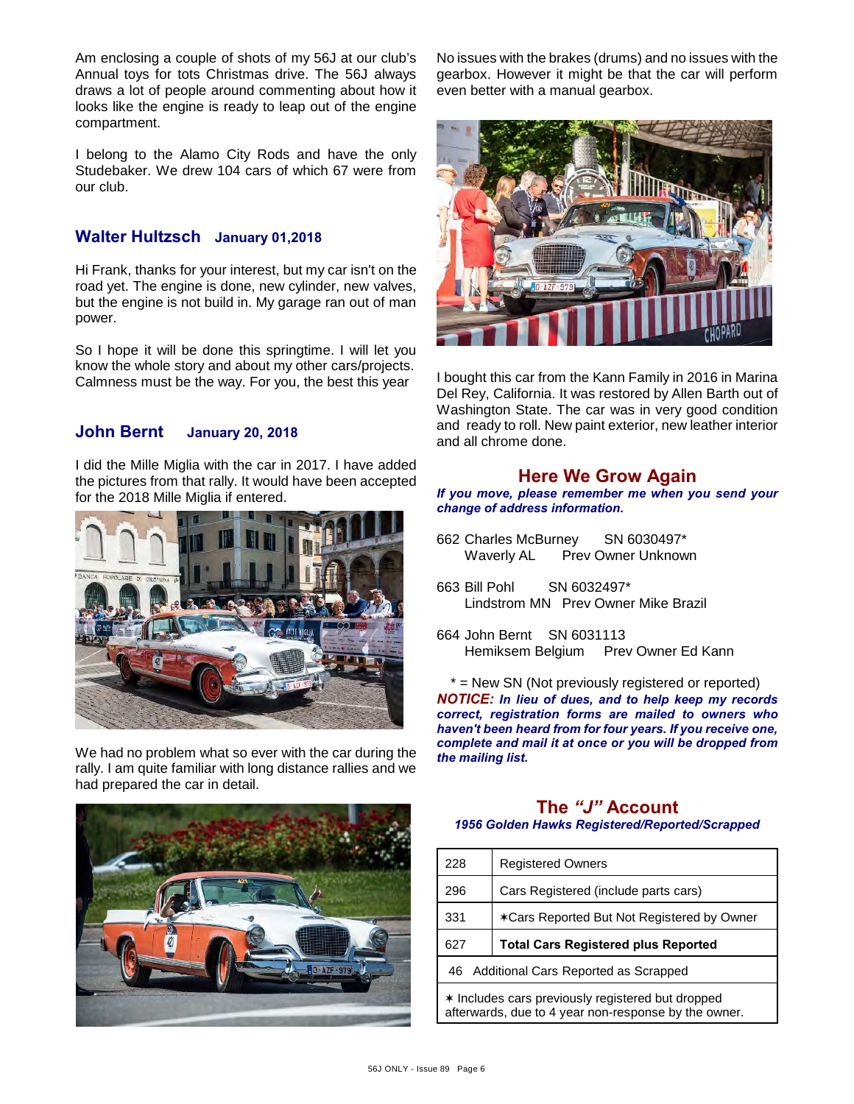Am enclosing a couple of shots of my 56J at our club's Annual toys for tots Christmas drive. The 56J always draws a lot of people around commenting about how it looks like the engine is ready to leap out of the engine compartment.

I belong to the Alamo City Rods and have the only Studebaker. We drew 104 cars of which 67 were from our club.

## **Walter Hultzsch January 01,2018**

Hi Frank, thanks for your interest, but my car isn't on the road yet. The engine is done, new cylinder, new valves, but the engine is not build in. My garage ran out of man power.

So I hope it will be done this springtime. I will let you know the whole story and about my other cars/projects. Calmness must be the way. For you, the best this year

## **John Bernt January 20, 2018**

I did the Mille Miglia with the car in 2017. I have added the pictures from that rally. It would have been accepted for the 2018 Mille Miglia if entered.



We had no problem what so ever with the car during the rally. I am quite familiar with long distance rallies and we had prepared the car in detail.

No issues with the brakes (drums) and no issues with the gearbox. However it might be that the car will perform even better with a manual gearbox.



I bought this car from the Kann Family in 2016 in Marina Del Rey, California. It was restored by Allen Barth out of Washington State. The car was in very good condition and ready to roll. New paint exterior, new leather interior and all chrome done.

## **Here We Grow Again**

*If you move, please remember me when you send your change of address information.*

- 662 Charles McBurney SN 6030497\* Waverly AL Prev Owner Unknown
- 663 Bill Pohl SN 6032497\* Lindstrom MN Prev Owner Mike Brazil
- 664 John Bernt SN 6031113 Hemiksem Belgium Prev Owner Ed Kann

\* = New SN (Not previously registered or reported) *NOTICE: In lieu of dues, and to help keep my records correct, registration forms are mailed to owners who haven't been heard from for four years. If you receive one, complete and mail it at once or you will be dropped from the mailing list.*



# **The** *"J"* **Account**

*1956 Golden Hawks Registered/Reported/Scrapped*

| 228                                     | <b>Registered Owners</b>                   |  |  |  |
|-----------------------------------------|--------------------------------------------|--|--|--|
| 296                                     | Cars Registered (include parts cars)       |  |  |  |
| 331                                     | *Cars Reported But Not Registered by Owner |  |  |  |
| 627                                     | <b>Total Cars Registered plus Reported</b> |  |  |  |
| 46 Additional Cars Reported as Scrapped |                                            |  |  |  |
|                                         |                                            |  |  |  |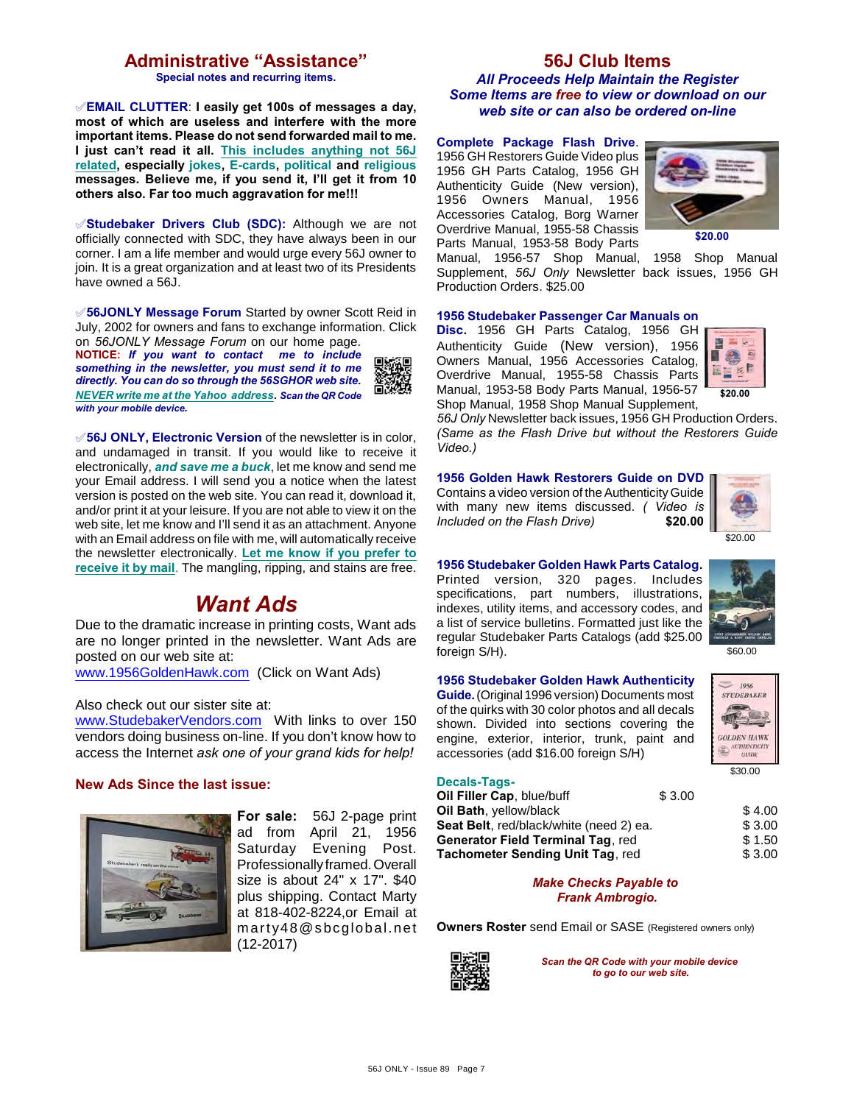## **Administrative "Assistance"**

**Special notes and recurring items.**

°**EMAIL CLUTTER**: **I easily get 100s of messages a day, most of which are useless and interfere with the more important items. Please do not send forwarded mail to me. I just can't read it all. This includes anything not 56J related, especially jokes, E-cards, political and religious messages. Believe me, if you send it, I'll get it from 10 others also. Far too much aggravation for me!!!**

√Studebaker Drivers Club (SDC): Although we are not officially connected with SDC, they have always been in our corner. I am a life member and would urge every 56J owner to join. It is a great organization and at least two of its Presidents have owned a 56J.

°**56JONLY Message Forum** Started by owner Scott Reid in July, 2002 for owners and fans to exchange information. Click

on *56JONLY Message Forum* on our home page. **NOTICE:** *If you want to contact me to include something in the newsletter, you must send it to me directly. You can do so through the 56SGHOR web site. NEVER write me at the Yahoo address. Scan the QR Code with your mobile device.* 



°**56J ONLY, Electronic Version** of the newsletter is in color, and undamaged in transit. If you would like to receive it electronically, *and save me a buck*, let me know and send me your Email address. I will send you a notice when the latest version is posted on the web site. You can read it, download it, and/or print it at your leisure. If you are not able to view it on the web site, let me know and I'll send it as an attachment. Anyone with an Email address on file with me, will automatically receive the newsletter electronically. **Let me know if you prefer to receive it by mail**. The mangling, ripping, and stains are free.

# *Want Ads*

Due to the dramatic increase in printing costs, Want ads are no longer printed in the newsletter. Want Ads are posted on our web site at:

[www.1956GoldenHawk.com](http://www.1956GoldenHawk.com) (Click on Want Ads)

Also check out our sister site at:

[www.StudebakerVendors.com](http://www.StudebakerVendors.com) With links to over 150 vendors doing business on-line. If you don't know how to access the Internet *ask one of your grand kids for help!*

#### **New Ads Since the last issue:**



**For sale:** 56J 2-page print ad from April 21, 1956 Saturday Evening Post. Professionally framed. Overall size is about 24" x 17". \$40 plus shipping. Contact Marty at 818-402-8224,or Email at m arty48@sbcglobal.net (12-2017)

## **56J Club Items** *All Proceeds Help Maintain the Register Some Items are free to view or download on our web site or can also be ordered on-line*

#### **Complete Package Flash Drive**.

1956 GH Restorers Guide Video plus 1956 GH Parts Catalog, 1956 GH Authenticity Guide (New version), 1956 Owners Manual, 1956 Accessories Catalog, Borg Warner Overdrive Manual, 1955-58 Chassis Parts Manual, 1953-58 Body Parts



Manual, 1956-57 Shop Manual, 1958 Shop Manual Supplement, *56J Only* Newsletter back issues, 1956 GH Production Orders. \$25.00

#### **1956 Studebaker Passenger Car Manuals on**

**Disc.** 1956 GH Parts Catalog, 1956 GH Authenticity Guide (New version), 1956 Owners Manual, 1956 Accessories Catalog, Overdrive Manual, 1955-58 Chassis Parts Manual, 1953-58 Body Parts Manual, 1956-57 Shop Manual, 1958 Shop Manual Supplement,



*56J Only* Newsletter back issues, 1956 GH Production Orders. *(Same as the Flash Drive but without the Restorers Guide Video.)*

**1956 Golden Hawk Restorers Guide on DVD** Contains a video version of the Authenticity Guide with many new items discussed. *( Video is Included on the Flash Drive)* **\$20.00**



**1956 Studebaker Golden Hawk Parts Catalog.** Printed version, 320 pages. Includes specifications, part numbers, illustrations, indexes, utility items, and accessory codes, and a list of service bulletins. Formatted just like the regular Studebaker Parts Catalogs (add \$25.00 foreign S/H).

#### **1956 Studebaker Golden Hawk Authenticity**

**Guide.** (Original 1996 version) Documents most of the quirks with 30 color photos and all decals shown. Divided into sections covering the engine, exterior, interior, trunk, paint and accessories (add \$16.00 foreign S/H)



\$30.00

 $\sum_{GUDE}$ 

**Decals-Tags-**

| Oil Filler Cap, blue/buff                | \$3.00 |        |
|------------------------------------------|--------|--------|
| Oil Bath, yellow/black                   |        | \$4.00 |
| Seat Belt, red/black/white (need 2) ea.  |        | \$3.00 |
| <b>Generator Field Terminal Tag, red</b> |        | \$1.50 |
| Tachometer Sending Unit Tag, red         |        | \$3.00 |

#### *Make Checks Payable to Frank Ambrogio.*

**Owners Roster** send Email or SASE (Registered owners only)



*Scan the QR Code with your mobile device to go to our web site.*